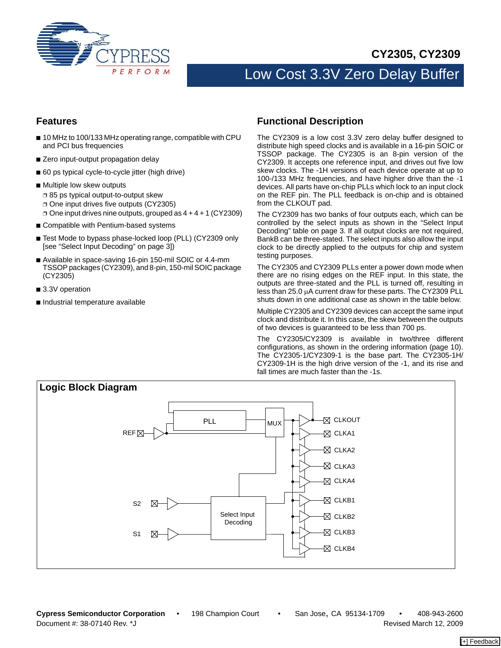

**CY2305, CY2309**

# Low Cost 3.3V Zero Delay Buffer

## **Features**

- 10 MHz to 100/133 MHz operating range, compatible with CPU and PCI bus frequencies
- Zero input-output propagation delay
- 60 ps typical cycle-to-cycle jitter (high drive)
- Multiple low skew outputs
	- ❐ 85 ps typical output-to-output skew
	- ❐ One input drives five outputs (CY2305)
- $\Box$  One input drives nine outputs, grouped as  $4 + 4 + 1$  (CY2309)
- Compatible with Pentium-based systems
- Test Mode to bypass phase-locked loop (PLL) (CY2309 only [see "Select Input Decoding" on page [3\]](#page-2-0))
- Available in space-saving 16-pin 150-mil SOIC or 4.4-mm TSSOP packages (CY2309), and 8-pin, 150-mil SOIC package (CY2305)
- 3.3V operation
- Industrial temperature available

## **Functional Description**

The CY2309 is a low cost 3.3V zero delay buffer designed to distribute high speed clocks and is available in a 16-pin SOIC or TSSOP package. The CY2305 is an 8-pin version of the CY2309. It accepts one reference input, and drives out five low skew clocks. The -1H versions of each device operate at up to 100-/133 MHz frequencies, and have higher drive than the -1 devices. All parts have on-chip PLLs which lock to an input clock on the REF pin. The PLL feedback is on-chip and is obtained from the CLKOUT pad.

The CY2309 has two banks of four outputs each, which can be controlled by the select inputs as shown in the "Select Input Decoding" table on page [3](#page-2-0). If all output clocks are not required, BankB can be three-stated. The select inputs also allow the input clock to be directly applied to the outputs for chip and system testing purposes.

The CY2305 and CY2309 PLLs enter a power down mode when there are no rising edges on the REF input. In this state, the outputs are three-stated and the PLL is turned off, resulting in less than 25.0 μA current draw for these parts. The CY2309 PLL shuts down in one additional case as shown in the table below.

Multiple CY2305 and CY2309 devices can accept the same input clock and distribute it. In this case, the skew between the outputs of two devices is guaranteed to be less than 700 ps.

The CY2305/CY2309 is available in two/three different configurations, as shown in the ordering information (page [10\)](#page-9-0). The CY2305-1/CY2309-1 is the base part. The CY2305-1H/ CY2309-1H is the high drive version of the -1, and its rise and fall times are much faster than the -1s.

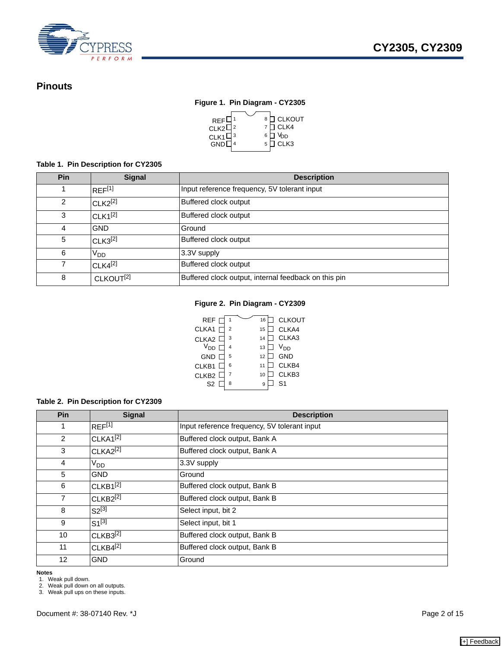

# **Pinouts**

## **Figure 1. Pin Diagram - CY2305**



## **Table 1. Pin Description for CY2305**

| Pin | <b>Signal</b>         | <b>Description</b>                                   |
|-----|-----------------------|------------------------------------------------------|
|     | REF <sup>[1]</sup>    | Input reference frequency, 5V tolerant input         |
| 2   | $CLK2^{[2]}$          | Buffered clock output                                |
| 3   | $CLK1^{[2]}$          | Buffered clock output                                |
| 4   | <b>GND</b>            | Ground                                               |
| 5   | $CLK3^{[2]}$          | Buffered clock output                                |
| 6   | V <sub>DD</sub>       | 3.3V supply                                          |
|     | $CLK4^{[2]}$          | Buffered clock output                                |
| 8   | CLKOUT <sup>[2]</sup> | Buffered clock output, internal feedback on this pin |

## **Figure 2. Pin Diagram - CY2309**

| <b>REF</b>            |   | 16 | <b>CLKOUT</b>     |
|-----------------------|---|----|-------------------|
| CLKA1                 | 2 | 15 | CLKA4             |
| CLKA <sub>2</sub>     | 3 | 14 | CLKA3             |
| <b>V<sub>DD</sub></b> |   | 13 | $V_{DD}$          |
| <b>GND</b>            | 5 | 12 | <b>GND</b>        |
| CLKB1                 | 6 | 11 | CLKB4             |
| CLKB <sub>2</sub>     |   | 10 | CLKB <sub>3</sub> |
| S <sub>2</sub>        | 8 | g  | S <sub>1</sub>    |
|                       |   |    |                   |

### **Table 2. Pin Description for CY2309**

| Pin               | <b>Signal</b>        | <b>Description</b>                           |
|-------------------|----------------------|----------------------------------------------|
| 1                 | $REF^{[1]}$          | Input reference frequency, 5V tolerant input |
| 2                 | CLKA1 <sup>[2]</sup> | Buffered clock output, Bank A                |
| 3                 | $CLKA2^{[2]}$        | Buffered clock output, Bank A                |
| $\overline{4}$    | V <sub>DD</sub>      | 3.3V supply                                  |
| 5                 | <b>GND</b>           | Ground                                       |
| 6                 | $CLKB1^{[2]}$        | Buffered clock output, Bank B                |
| $\overline{7}$    | $CLKB2^{[2]}$        | Buffered clock output, Bank B                |
| 8                 | $S2^{[3]}$           | Select input, bit 2                          |
| 9                 | $S1^{[3]}$           | Select input, bit 1                          |
| 10                | $CLKB3^{[2]}$        | Buffered clock output, Bank B                |
| 11                | $CLKB4^{[2]}$        | Buffered clock output, Bank B                |
| $12 \overline{ }$ | <b>GND</b>           | Ground                                       |

**Notes**

<span id="page-1-0"></span>1. Weak pull down.

<span id="page-1-1"></span>2. Weak pull down on all outputs.

<span id="page-1-2"></span>3. Weak pull ups on these inputs.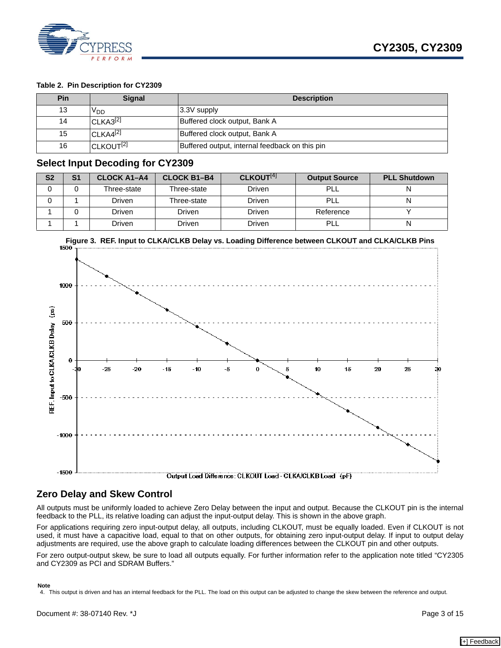

### **Table 2. Pin Description for CY2309**

| Pin | <b>Signal</b>         | <b>Description</b>                             |
|-----|-----------------------|------------------------------------------------|
| 13  | חח⊻                   | 3.3V supply                                    |
| 14  | $CLKA3^{[2]}$         | Buffered clock output, Bank A                  |
| 15  | $CLKAA^{[2]}$         | Buffered clock output, Bank A                  |
| 16  | CLKOUT <sup>[2]</sup> | Buffered output, internal feedback on this pin |

## <span id="page-2-0"></span>**Select Input Decoding for CY2309**

| S <sub>2</sub> | S1 | <b>CLOCK A1-A4</b> | <b>CLOCK B1-B4</b> | CLKOUT <sup>[4]</sup> | <b>Output Source</b> | <b>PLL Shutdown</b> |
|----------------|----|--------------------|--------------------|-----------------------|----------------------|---------------------|
|                |    | Three-state        | Three-state        | Driven                | PLL                  |                     |
|                |    | Driven             | Three-state        | Driven                | PLL                  |                     |
|                |    | Driven             | Driven             | Driven                | Reference            |                     |
|                |    | Driven             | Driven             | Driven                | PLL                  | N                   |



## **Zero Delay and Skew Control**

All outputs must be uniformly loaded to achieve Zero Delay between the input and output. Because the CLKOUT pin is the internal feedback to the PLL, its relative loading can adjust the input-output delay. This is shown in the above graph.

For applications requiring zero input-output delay, all outputs, including CLKOUT, must be equally loaded. Even if CLKOUT is not used, it must have a capacitive load, equal to that on other outputs, for obtaining zero input-output delay. If input to output delay adjustments are required, use the above graph to calculate loading differences between the CLKOUT pin and other outputs.

For zero output-output skew, be sure to load all outputs equally. For further information refer to the application note titled "CY2305 and CY2309 as PCI and SDRAM Buffers."

#### **Note**

<span id="page-2-1"></span>4. This output is driven and has an internal feedback for the PLL. The load on this output can be adjusted to change the skew between the reference and output.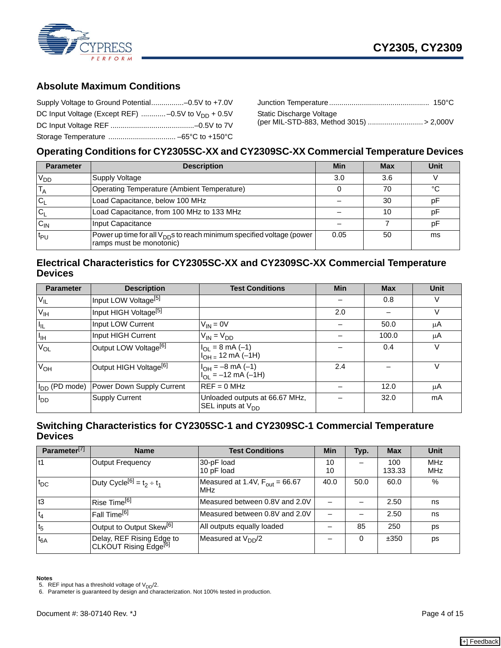

# **Absolute Maximum Conditions**

| Supply Voltage to Ground Potential-0.5V to +7.0V        |  |
|---------------------------------------------------------|--|
| DC Input Voltage (Except REF)  -0.5V to $V_{DD}$ + 0.5V |  |
|                                                         |  |
|                                                         |  |

| Static Discharge Voltage |  |
|--------------------------|--|

# **Operating Conditions for CY2305SC-XX and CY2309SC-XX Commercial Temperature Devices**

| <b>Parameter</b>  | <b>Description</b>                                                                                            | Min  | <b>Max</b> | Unit |
|-------------------|---------------------------------------------------------------------------------------------------------------|------|------------|------|
| V <sub>DD</sub>   | Supply Voltage                                                                                                | 3.0  | 3.6        |      |
|                   | Operating Temperature (Ambient Temperature)                                                                   |      | 70         | °C   |
| IC,               | Load Capacitance, below 100 MHz                                                                               |      | 30         | pF   |
|                   | Load Capacitance, from 100 MHz to 133 MHz                                                                     |      | 10         | рF   |
| $C_{IN}$          | Input Capacitance                                                                                             |      |            | рF   |
| ¦ <sup>t</sup> P∪ | Power up time for all V <sub>DD</sub> s to reach minimum specified voltage (power<br>ramps must be monotonic) | 0.05 | 50         | ms   |

# **Electrical Characteristics for CY2305SC-XX and CY2309SC-XX Commercial Temperature Devices**

| <b>Parameter</b>          | <b>Description</b>                 | <b>Test Conditions</b>                                                    | <b>Min</b> | <b>Max</b> | <b>Unit</b> |
|---------------------------|------------------------------------|---------------------------------------------------------------------------|------------|------------|-------------|
| $V_{IL}$                  | Input LOW Voltage <sup>[5]</sup>   |                                                                           |            | 0.8        | V           |
| V <sub>IH</sub>           | Input HIGH Voltage <sup>[5]</sup>  |                                                                           | 2.0        |            | V           |
| Πı.                       | Input LOW Current                  | $V_{IN} = 0V$                                                             |            | 50.0       | μA          |
| $I_{\rm IH}$              | Input HIGH Current                 | $V_{IN} = V_{DD}$                                                         |            | 100.0      | μA          |
| $V_{OL}$                  | Output LOW Voltage <sup>[6]</sup>  | $I_{OL} = 8 \text{ mA } (-1)$<br>$I_{OH}$ = 12 mA (-1H)                   |            | 0.4        | V           |
| $V_{OH}$                  | Output HIGH Voltage <sup>[6]</sup> | $I_{OH} = -8 \text{ mA } (-1)$<br>$I_{\text{OI}} = -12 \text{ mA } (-1H)$ | 2.4        |            | V           |
| I <sub>DD</sub> (PD mode) | Power Down Supply Current          | $REF = 0 MHz$                                                             |            | 12.0       | μA          |
| <sup>I</sup> DD           | <b>Supply Current</b>              | Unloaded outputs at 66.67 MHz,<br>SEL inputs at $V_{DD}$                  |            | 32.0       | mA          |

# **Switching Characteristics for CY2305SC-1 and CY2309SC-1 Commercial Temperature Devices**

| Parameter <sup>[7]</sup> | <b>Name</b>                                                    | <b>Test Conditions</b>                                   | <b>Min</b> | Typ. | <b>Max</b>    | <b>Unit</b>       |
|--------------------------|----------------------------------------------------------------|----------------------------------------------------------|------------|------|---------------|-------------------|
| $11$                     | <b>Output Frequency</b>                                        | 30-pF load<br>10 pF load                                 | 10<br>10   |      | 100<br>133.33 | <b>MHz</b><br>MHz |
| $t_{DC}$                 | Duty Cycle <sup>[6]</sup> = $t_2 \div t_1$                     | Measured at 1.4V, $F_{\text{out}} = 66.67$<br><b>MHz</b> | 40.0       | 50.0 | 60.0          | %                 |
| t3                       | Rise Time <sup>[6]</sup>                                       | Measured between 0.8V and 2.0V                           |            |      | 2.50          | ns                |
| $t_4$                    | Fall Time <sup>[6]</sup>                                       | Measured between 0.8V and 2.0V                           |            |      | 2.50          | ns                |
| t <sub>5</sub>           | Output to Output Skew <sup>[6]</sup>                           | All outputs equally loaded                               |            | 85   | 250           | ps                |
| $t_{6A}$                 | Delay, REF Rising Edge to<br>CLKOUT Rising Edge <sup>[6]</sup> | Measured at V <sub>DD</sub> /2                           |            | 0    | ±350          | ps                |

**Notes**

<span id="page-3-0"></span>

<span id="page-3-1"></span>5. REF input has a threshold voltage of V<sub>DD</sub>/2.<br>6. Parameter is guaranteed by design and characterization. Not 100% tested in production.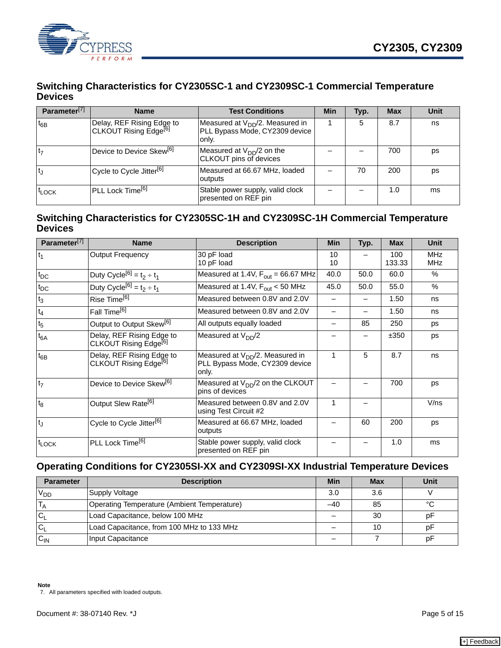

# **Switching Characteristics for CY2305SC-1 and CY2309SC-1 Commercial Temperature Devices**

| Parameter <sup>[7]</sup> | <b>Name</b>                                                    | <b>Test Conditions</b>                                                          | Min | Typ. | <b>Max</b> | Unit |
|--------------------------|----------------------------------------------------------------|---------------------------------------------------------------------------------|-----|------|------------|------|
| $t_{6B}$                 | Delay, REF Rising Edge to<br>CLKOUT Rising Edge <sup>[6]</sup> | Measured at $V_{DD}/2$ . Measured in<br>PLL Bypass Mode, CY2309 device<br>only. |     | 5    | 8.7        | ns   |
| t <sub>7</sub>           | Device to Device Skew <sup>[6]</sup>                           | Measured at $V_{DD}/2$ on the<br><b>CLKOUT</b> pins of devices                  |     |      | 700        | ps   |
|                          | Cycle to Cycle Jitter <sup>[6]</sup>                           | Measured at 66.67 MHz, loaded<br>outputs                                        |     | 70   | 200        | ps   |
| <sup>t</sup> LOCK        | PLL Lock Time <sup>[6]</sup>                                   | Stable power supply, valid clock<br>presented on REF pin                        |     |      | 1.0        | ms   |

# **Switching Characteristics for CY2305SC-1H and CY2309SC-1H Commercial Temperature Devices**

| Parameter <sup>[7]</sup> | <b>Name</b>                                                    | <b>Description</b>                                                              | <b>Min</b> | Typ. | <b>Max</b>    | <b>Unit</b>              |
|--------------------------|----------------------------------------------------------------|---------------------------------------------------------------------------------|------------|------|---------------|--------------------------|
| $t_1$                    | <b>Output Frequency</b>                                        | 30 pF load<br>10 pF load                                                        | 10<br>10   |      | 100<br>133.33 | <b>MHz</b><br><b>MHz</b> |
| $t_{DC}$                 | Duty Cycle <sup>[6]</sup> = $t_2 \div t_1$                     | Measured at 1.4V, $F_{\text{out}} = 66.67 \text{ MHz}$                          | 40.0       | 50.0 | 60.0          | $\%$                     |
| $t_{DC}$                 | Duty Cycle <sup>[6]</sup> = $t_2 \div t_1$                     | Measured at 1.4V, F <sub>out</sub> < 50 MHz                                     | 45.0       | 50.0 | 55.0          | $\%$                     |
| $t_3$                    | Rise Time <sup>[6]</sup>                                       | Measured between 0.8V and 2.0V                                                  |            |      | 1.50          | ns                       |
| $t_4$                    | Fall Time <sup>[6]</sup>                                       | Measured between 0.8V and 2.0V                                                  |            |      | 1.50          | ns                       |
| t <sub>5</sub>           | Output to Output Skew <sup>[6]</sup>                           | All outputs equally loaded                                                      |            | 85   | 250           | ps                       |
| $t_{6A}$                 | Delay, REF Rising Edge to<br>CLKOUT Rising Edge <sup>[6]</sup> | Measured at $V_{DD}/2$                                                          |            |      | ±350          | ps                       |
| $t_{6B}$                 | Delay, REF Rising Edge to<br>CLKOUT Rising Edge <sup>[6]</sup> | Measured at $V_{DD}/2$ . Measured in<br>PLL Bypass Mode, CY2309 device<br>only. | 1          | 5    | 8.7           | ns                       |
| t <sub>7</sub>           | Device to Device Skew <sup>[6]</sup>                           | Measured at $V_{DD}/2$ on the CLKOUT<br>pins of devices                         |            |      | 700           | ps                       |
| t <sub>8</sub>           | Output Slew Rate <sup>[6]</sup>                                | Measured between 0.8V and 2.0V<br>using Test Circuit #2                         | 1          |      |               | V/ns                     |
| t                        | Cycle to Cycle Jitter <sup>[6]</sup>                           | Measured at 66.67 MHz, loaded<br>outputs                                        |            | 60   | 200           | ps                       |
| $t_{\text{LOCK}}$        | PLL Lock Time <sup>[6]</sup>                                   | Stable power supply, valid clock<br>presented on REF pin                        |            |      | 1.0           | ms                       |

# **Operating Conditions for CY2305SI-XX and CY2309SI-XX Industrial Temperature Devices**

<span id="page-4-0"></span>

| <b>Parameter</b> | <b>Description</b>                          | <b>Min</b> | Max | Unit |
|------------------|---------------------------------------------|------------|-----|------|
| V <sub>DD</sub>  | Supply Voltage                              | 3.0        | 3.6 |      |
|                  | Operating Temperature (Ambient Temperature) | -40        | 85  | °C   |
| $C_1$            | Load Capacitance, below 100 MHz             |            | 30  | p⊦   |
| $ C_1 $          | Load Capacitance, from 100 MHz to 133 MHz   |            | 10  | рF   |
| $C_{IN}$         | Input Capacitance                           |            |     | рF   |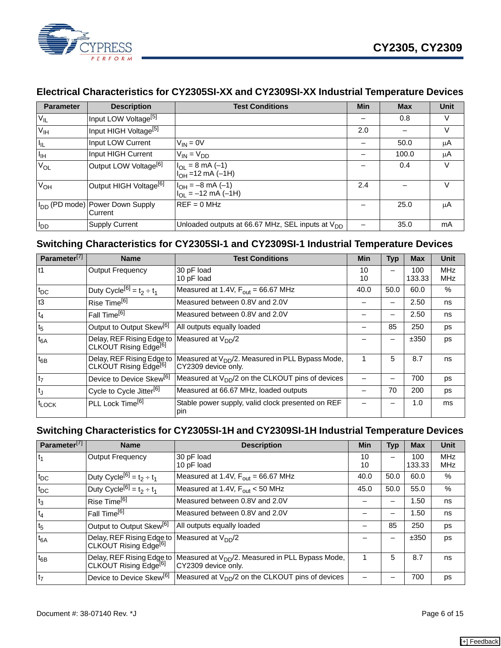

# **Electrical Characteristics for CY2305SI-XX and CY2309SI-XX Industrial Temperature Devices**

| <b>Parameter</b> | <b>Description</b>                                            | <b>Test Conditions</b>                                                    | Min | <b>Max</b> | <b>Unit</b> |
|------------------|---------------------------------------------------------------|---------------------------------------------------------------------------|-----|------------|-------------|
| $V_{IL}$         | Input LOW Voltage <sup>[5]</sup>                              |                                                                           |     | 0.8        | V           |
| V <sub>IH</sub>  | Input HIGH Voltage <sup>[5]</sup>                             |                                                                           | 2.0 |            | V           |
| $I_{IL}$         | Input LOW Current                                             | $V_{IN} = 0V$                                                             |     | 50.0       | μA          |
| $I_{IH}$         | Input HIGH Current                                            | $V_{IN} = V_{DD}$                                                         |     | 100.0      | μA          |
| $V_{OL}$         | Output LOW Voltage <sup>[6]</sup>                             | $I_{OL} = 8 \text{ mA } (-1)$<br>$I_{OH} = 12 \text{ mA } (-1\text{ H})$  |     | 0.4        | V           |
| $V_{OH}$         | Output HIGH Voltage <sup>[6]</sup>                            | $I_{OH} = -8 \text{ mA } (-1)$<br>$I_{\text{OI}} = -12 \text{ mA } (-1H)$ | 2.4 |            | V           |
|                  | I <sub>DD</sub> (PD mode) Power Down Supply<br><b>Current</b> | $REF = 0 MHz$                                                             |     | 25.0       | μA          |
| $I_{DD}$         | <b>Supply Current</b>                                         | Unloaded outputs at 66.67 MHz, SEL inputs at V <sub>DD</sub>              |     | 35.0       | mA          |

# **Switching Characteristics for CY2305SI-1 and CY2309SI-1 Industrial Temperature Devices**

| Parameter <sup>[7]</sup> | <b>Name</b>                                                    | <b>Test Conditions</b>                                                              | Min      | Typ  | <b>Max</b>    | <b>Unit</b>              |
|--------------------------|----------------------------------------------------------------|-------------------------------------------------------------------------------------|----------|------|---------------|--------------------------|
| lt1                      | <b>Output Frequency</b>                                        | 30 pF load<br>10 pF load                                                            | 10<br>10 |      | 100<br>133.33 | <b>MHz</b><br><b>MHz</b> |
| $t_{DC}$                 | Duty Cycle <sup>[6]</sup> = $t_2 \div t_1$                     | Measured at 1.4V, $F_{\text{out}} = 66.67 \text{ MHz}$                              | 40.0     | 50.0 | 60.0          | %                        |
| t3                       | Rise Time <sup>[6]</sup>                                       | Measured between 0.8V and 2.0V                                                      |          |      | 2.50          | ns                       |
| $t_4$                    | Fall Time <sup>[6]</sup>                                       | Measured between 0.8V and 2.0V                                                      |          |      | 2.50          | ns                       |
| t <sub>5</sub>           | Output to Output Skew <sup>[6]</sup>                           | All outputs equally loaded                                                          |          | 85   | 250           | ps                       |
| $t_{6A}$                 | Delay, REF Rising Edge to<br>CLKOUT Rising Edge <sup>[6]</sup> | Measured at $V_{DD}/2$                                                              |          |      | ±350          | ps                       |
| $t_{6B}$                 | Delay, REF Rising Edge to<br>CLKOUT Rising Edge <sup>[6]</sup> | Measured at V <sub>DD</sub> /2. Measured in PLL Bypass Mode,<br>CY2309 device only. |          | 5    | 8.7           | ns                       |
| t <sub>7</sub>           | Device to Device Skew <sup>[6]</sup>                           | Measured at V <sub>DD</sub> /2 on the CLKOUT pins of devices                        |          |      | 700           | ps                       |
| <sup>t</sup>             | Cycle to Cycle Jitter <sup>[6]</sup>                           | Measured at 66.67 MHz, loaded outputs                                               |          | 70   | 200           | ps                       |
| <sup>t</sup> LOCK        | PLL Lock Time <sup>[6]</sup>                                   | Stable power supply, valid clock presented on REF<br>pin                            |          |      | 1.0           | ms                       |

# **Switching Characteristics for CY2305SI-1H and CY2309SI-1H Industrial Temperature Devices**

| Parameter <sup>[7]</sup> | <b>Name</b>                                                                                   | <b>Description</b>                                                           | <b>Min</b> | <b>Typ</b>               | <b>Max</b>    | <b>Unit</b>              |
|--------------------------|-----------------------------------------------------------------------------------------------|------------------------------------------------------------------------------|------------|--------------------------|---------------|--------------------------|
| $t_1$                    | <b>Output Frequency</b>                                                                       | 30 pF load<br>10 pF load                                                     | 10<br>10   |                          | 100<br>133.33 | <b>MHz</b><br><b>MHz</b> |
| $t_{DC}$                 | Duty Cycle <sup>[6]</sup> = $t_2 \div t_1$                                                    | Measured at 1.4V, $F_{\text{out}} = 66.67 \text{ MHz}$                       | 40.0       | 50.0                     | 60.0          | %                        |
| $t_{DC}$                 | Duty Cycle <sup>[6]</sup> = $t_2 \div t_1$                                                    | Measured at 1.4V, $F_{\text{out}}$ < 50 MHz                                  | 45.0       | 50.0                     | 55.0          | %                        |
| $t_3$                    | Rise Time <sup>[6]</sup>                                                                      | Measured between 0.8V and 2.0V                                               |            |                          | 1.50          | ns                       |
| $t_4$                    | Fall Time <sup>[6]</sup>                                                                      | Measured between 0.8V and 2.0V                                               |            |                          | 1.50          | ns                       |
| t <sub>5</sub>           | Output to Output Skew <sup>[6]</sup>                                                          | All outputs equally loaded                                                   |            | 85                       | 250           | ps                       |
| $t_{6A}$                 | Delay, REF Rising Edge to Measured at V <sub>DD</sub> /2<br>CLKOUT Rising Edge <sup>[6]</sup> |                                                                              |            | $\overline{\phantom{0}}$ | ±350          | ps                       |
| $t_{6B}$                 | Delay, REF Rising Edge to<br>CLKOUT Rising Edge <sup>[6]</sup>                                | Measured at $V_{DD}/2$ . Measured in PLL Bypass Mode,<br>CY2309 device only. |            | 5                        | 8.7           | ns                       |
| t <sub>7</sub>           | Device to Device Skew <sup>[6]</sup>                                                          | Measured at $V_{DD}/2$ on the CLKOUT pins of devices                         |            |                          | 700           | ps                       |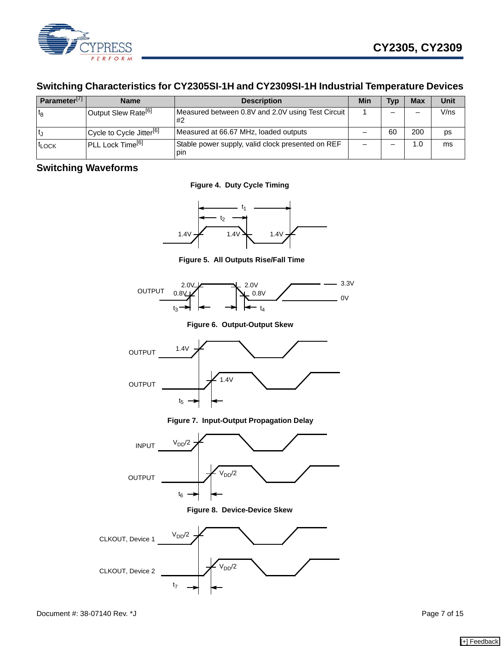

# **Switching Characteristics for CY2305SI-1H and CY2309SI-1H Industrial Temperature Devices**

| Parameter <sup>[7]</sup> | <b>Name</b>                                       | <b>Description</b>                                             | Min | Тур | <b>Max</b> | Unit |
|--------------------------|---------------------------------------------------|----------------------------------------------------------------|-----|-----|------------|------|
| $t_{8}$                  | l Output Slew Rate <sup>[6]</sup>                 | Measured between 0.8V and 2.0V using Test Circuit<br><b>#2</b> |     |     |            | V/ns |
|                          | <sup>I</sup> Cycle to Cycle Jitter <sup>[6]</sup> | Measured at 66.67 MHz, loaded outputs                          |     | 60  | 200        | ps   |
| <sup>t</sup> LOCK        | IPLL Lock Time <sup>[6]</sup>                     | Stable power supply, valid clock presented on REF<br>pin       |     |     | 1.0        | ms   |

# **Switching Waveforms**

**Figure 4. Duty Cycle Timing**



**Figure 5. All Outputs Rise/Fall Time**



**Figure 6. Output-Output Skew**



**Figure 7. Input-Output Propagation Delay**



**Figure 8. Device-Device Skew**

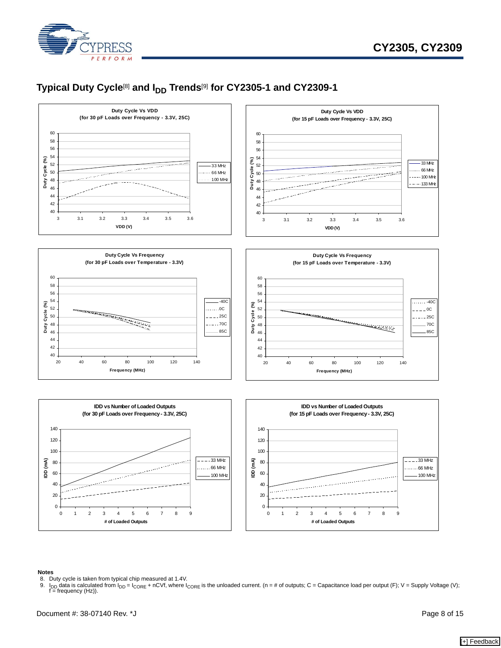

# Typical Duty Cycle<sup>[\[8](#page-7-0)]</sup> and I<sub>DD</sub> Trends<sup>[\[9](#page-7-1)]</sup> for CY2305-1 and CY2309-1



#### **Notes**

- <span id="page-7-1"></span>
- <span id="page-7-0"></span>8. Duty cycle is taken from typical chip measured at 1.4V.<br>9.  $I_{DD}$  data is calculated from  $I_{DD} = I_{CORE} + nCVf$ , where I<sub>0</sub> 9. I<sub>DD</sub> data is calculated from I<sub>DD</sub> = I<sub>CORE</sub> + nCVf, where I<sub>CORE</sub> is the unloaded current. (n = # of outputs; C = Capacitance load per output (F); V = Supply Voltage (V); f = frequency (Hz)).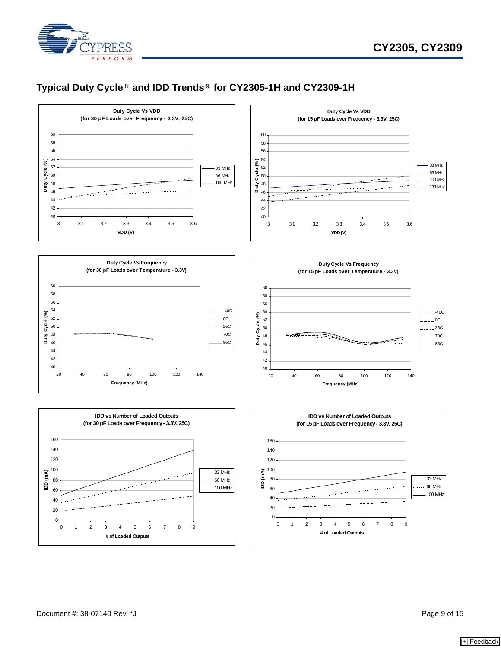

# **Typical Duty Cycle**[\[8](#page-7-0)] **and IDD Trends**[[9\]](#page-7-1) **for CY2305-1H and CY2309-1H**

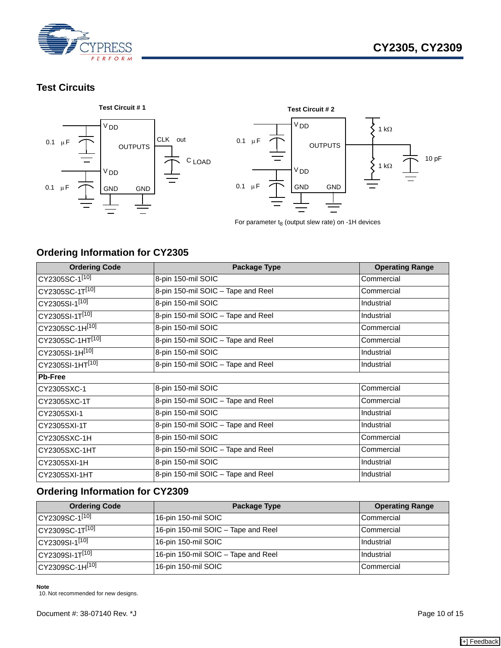

# **Test Circuits**



# <span id="page-9-0"></span>**Ordering Information for CY2305**

| <b>Ordering Code</b>         | <b>Package Type</b>                | <b>Operating Range</b> |
|------------------------------|------------------------------------|------------------------|
| CY2305SC-1[10]               | 8-pin 150-mil SOIC                 | Commercial             |
| CY2305SC-1T[10]              | 8-pin 150-mil SOIC - Tape and Reel | Commercial             |
| CY2305SI-1[10]               | 8-pin 150-mil SOIC                 | Industrial             |
| CY2305SI-1T[10]              | 8-pin 150-mil SOIC - Tape and Reel | Industrial             |
| CY2305SC-1H <sup>[10]</sup>  | 8-pin 150-mil SOIC                 | Commercial             |
| CY2305SC-1HT <sup>[10]</sup> | 8-pin 150-mil SOIC - Tape and Reel | Commercial             |
| CY2305SI-1H[10]              | 8-pin 150-mil SOIC                 | Industrial             |
| CY2305SI-1HT <sup>[10]</sup> | 8-pin 150-mil SOIC - Tape and Reel | Industrial             |
| <b>Pb-Free</b>               |                                    |                        |
| CY2305SXC-1                  | 8-pin 150-mil SOIC                 | Commercial             |
| CY2305SXC-1T                 | 8-pin 150-mil SOIC - Tape and Reel | Commercial             |
| CY2305SXI-1                  | 8-pin 150-mil SOIC                 | Industrial             |
| CY2305SXI-1T                 | 8-pin 150-mil SOIC - Tape and Reel | Industrial             |
| CY2305SXC-1H                 | 8-pin 150-mil SOIC                 | Commercial             |
| CY2305SXC-1HT                | 8-pin 150-mil SOIC - Tape and Reel | Commercial             |
| CY2305SXI-1H                 | 8-pin 150-mil SOIC                 | Industrial             |
| CY2305SXI-1HT                | 8-pin 150-mil SOIC - Tape and Reel | Industrial             |

# **Ordering Information for CY2309**

| <b>Ordering Code</b>        | Package Type                        | <b>Operating Range</b> |
|-----------------------------|-------------------------------------|------------------------|
| CY2309SC-1 <sup>[10]</sup>  | 16-pin 150-mil SOIC                 | Commercial             |
| CY2309SC-1T <sup>[10]</sup> | 16-pin 150-mil SOIC - Tape and Reel | Commercial             |
| CY2309SI-1 <sup>[10]</sup>  | 16-pin 150-mil SOIC                 | Industrial             |
| CY2309SI-1T <sup>[10]</sup> | 16-pin 150-mil SOIC - Tape and Reel | Industrial             |
| CY2309SC-1H <sup>[10]</sup> | 16-pin 150-mil SOIC                 | Commercial             |

**Note**

<span id="page-9-1"></span>10. Not recommended for new designs.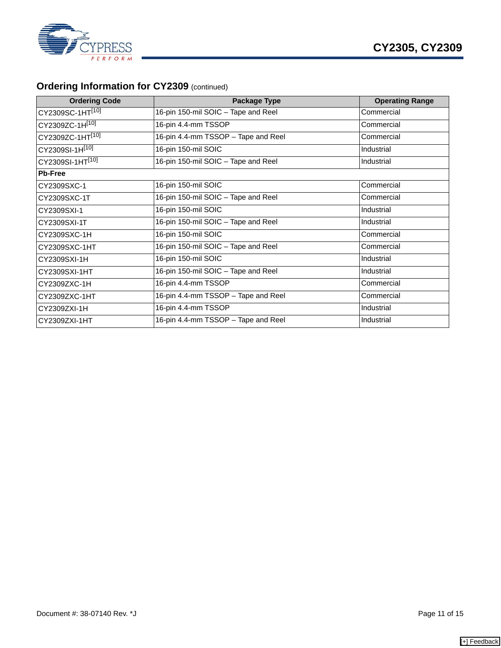



# **Ordering Information for CY2309 (continued)**

| <b>Ordering Code</b>         | <b>Package Type</b>                 | <b>Operating Range</b> |
|------------------------------|-------------------------------------|------------------------|
| CY2309SC-1HT <sup>[10]</sup> | 16-pin 150-mil SOIC - Tape and Reel | Commercial             |
| CY2309ZC-1H[10]              | 16-pin 4.4-mm TSSOP                 | Commercial             |
| CY2309ZC-1HT[10]             | 16-pin 4.4-mm TSSOP - Tape and Reel | Commercial             |
| CY2309SI-1H[10]              | 16-pin 150-mil SOIC                 | Industrial             |
| CY2309SI-1HT <sup>[10]</sup> | 16-pin 150-mil SOIC - Tape and Reel | Industrial             |
| <b>Pb-Free</b>               |                                     |                        |
| CY2309SXC-1                  | 16-pin 150-mil SOIC                 | Commercial             |
| CY2309SXC-1T                 | 16-pin 150-mil SOIC - Tape and Reel | Commercial             |
| CY2309SXI-1                  | 16-pin 150-mil SOIC                 | Industrial             |
| CY2309SXI-1T                 | 16-pin 150-mil SOIC - Tape and Reel | Industrial             |
| CY2309SXC-1H                 | 16-pin 150-mil SOIC                 | Commercial             |
| CY2309SXC-1HT                | 16-pin 150-mil SOIC - Tape and Reel | Commercial             |
| CY2309SXI-1H                 | 16-pin 150-mil SOIC                 | Industrial             |
| CY2309SXI-1HT                | 16-pin 150-mil SOIC - Tape and Reel | Industrial             |
| CY2309ZXC-1H                 | 16-pin 4.4-mm TSSOP                 | Commercial             |
| CY2309ZXC-1HT                | 16-pin 4.4-mm TSSOP - Tape and Reel | Commercial             |
| CY2309ZXI-1H                 | 16-pin 4.4-mm TSSOP                 | Industrial             |
| CY2309ZXI-1HT                | 16-pin 4.4-mm TSSOP - Tape and Reel | Industrial             |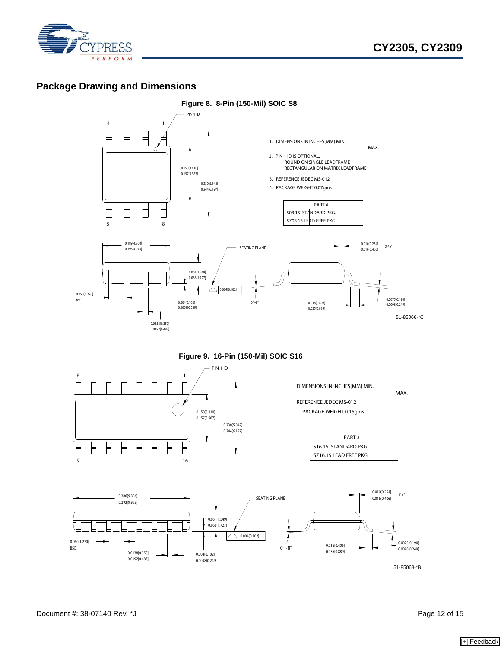

# **Package Drawing and Dimensions**



**Figure 9. 16-Pin (150-Mil) SOIC S16**



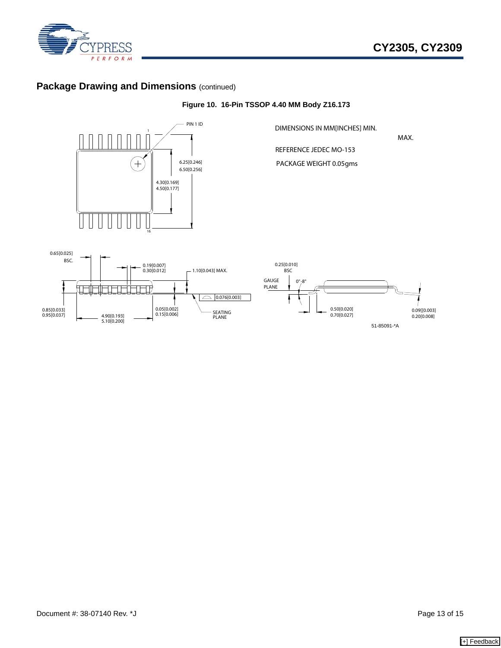

# **Package Drawing and Dimensions (continued)**

4.90[0.193]

0.95[0.037] 0.85[0.033]

5.10[0.200]

0.05[0.002] 0.15[0.006]



SEATING PLANE

 $\Box$  0.076[0.003]

## **Figure 10. 16-Pin TSSOP 4.40 MM Body Z16.173**

51-85091-\*A

0.70[0.027] 0.50[0.020]

0.20[0.008]

0.09[[0.003]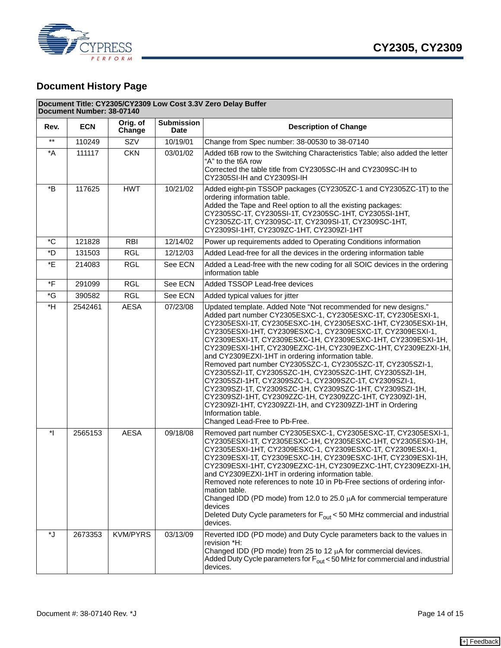

# **Document History Page**

|                 | Document Title: CY2305/CY2309 Low Cost 3.3V Zero Delay Buffer<br>Document Number: 38-07140 |                    |                                  |                                                                                                                                                                                                                                                                                                                                                                                                                                                                                                                                                                                                                                                                                                                                                                                                                                                                                      |  |
|-----------------|--------------------------------------------------------------------------------------------|--------------------|----------------------------------|--------------------------------------------------------------------------------------------------------------------------------------------------------------------------------------------------------------------------------------------------------------------------------------------------------------------------------------------------------------------------------------------------------------------------------------------------------------------------------------------------------------------------------------------------------------------------------------------------------------------------------------------------------------------------------------------------------------------------------------------------------------------------------------------------------------------------------------------------------------------------------------|--|
| Rev.            | <b>ECN</b>                                                                                 | Orig. of<br>Change | <b>Submission</b><br><b>Date</b> | <b>Description of Change</b>                                                                                                                                                                                                                                                                                                                                                                                                                                                                                                                                                                                                                                                                                                                                                                                                                                                         |  |
| $^{\star\star}$ | 110249                                                                                     | SZV                | 10/19/01                         | Change from Spec number: 38-00530 to 38-07140                                                                                                                                                                                                                                                                                                                                                                                                                                                                                                                                                                                                                                                                                                                                                                                                                                        |  |
| *A              | 111117                                                                                     | <b>CKN</b>         | 03/01/02                         | Added t6B row to the Switching Characteristics Table; also added the letter<br>"A" to the t6A row<br>Corrected the table title from CY2305SC-IH and CY2309SC-IH to<br>CY2305SI-IH and CY2309SI-IH                                                                                                                                                                                                                                                                                                                                                                                                                                                                                                                                                                                                                                                                                    |  |
| *B              | 117625                                                                                     | <b>HWT</b>         | 10/21/02                         | Added eight-pin TSSOP packages (CY2305ZC-1 and CY2305ZC-1T) to the<br>ordering information table.<br>Added the Tape and Reel option to all the existing packages:<br>CY2305SC-1T, CY2305SI-1T, CY2305SC-1HT, CY2305SI-1HT,<br>CY2305ZC-1T, CY2309SC-1T, CY2309SI-1T, CY2309SC-1HT,<br>CY2309SI-1HT, CY2309ZC-1HT, CY2309ZI-1HT                                                                                                                                                                                                                                                                                                                                                                                                                                                                                                                                                       |  |
| *C              | 121828                                                                                     | <b>RBI</b>         | 12/14/02                         | Power up requirements added to Operating Conditions information                                                                                                                                                                                                                                                                                                                                                                                                                                                                                                                                                                                                                                                                                                                                                                                                                      |  |
| *D              | 131503                                                                                     | <b>RGL</b>         | 12/12/03                         | Added Lead-free for all the devices in the ordering information table                                                                                                                                                                                                                                                                                                                                                                                                                                                                                                                                                                                                                                                                                                                                                                                                                |  |
| *E              | 214083                                                                                     | <b>RGL</b>         | See ECN                          | Added a Lead-free with the new coding for all SOIC devices in the ordering<br>information table                                                                                                                                                                                                                                                                                                                                                                                                                                                                                                                                                                                                                                                                                                                                                                                      |  |
| *F              | 291099                                                                                     | <b>RGL</b>         | See ECN                          | Added TSSOP Lead-free devices                                                                                                                                                                                                                                                                                                                                                                                                                                                                                                                                                                                                                                                                                                                                                                                                                                                        |  |
| *G              | 390582                                                                                     | <b>RGL</b>         | See ECN                          | Added typical values for jitter                                                                                                                                                                                                                                                                                                                                                                                                                                                                                                                                                                                                                                                                                                                                                                                                                                                      |  |
| $*H$            | 2542461                                                                                    | <b>AESA</b>        | 07/23/08                         | Updated template. Added Note "Not recommended for new designs."<br>Added part number CY2305ESXC-1, CY2305ESXC-1T, CY2305ESXI-1,<br>CY2305ESXI-1T, CY2305ESXC-1H, CY2305ESXC-1HT, CY2305ESXI-1H,<br>CY2305ESXI-1HT, CY2309ESXC-1, CY2309ESXC-1T, CY2309ESXI-1,<br>CY2309ESXI-1T, CY2309ESXC-1H, CY2309ESXC-1HT, CY2309ESXI-1H,<br>CY2309ESXI-1HT, CY2309EZXC-1H, CY2309EZXC-1HT, CY2309EZXI-1H,<br>and CY2309EZXI-1HT in ordering information table.<br>Removed part number CY2305SZC-1, CY2305SZC-1T, CY2305SZI-1,<br>CY2305SZI-1T, CY2305SZC-1H, CY2305SZC-1HT, CY2305SZI-1H,<br>CY2305SZI-1HT, CY2309SZC-1, CY2309SZC-1T, CY2309SZI-1,<br>CY2309SZI-1T, CY2309SZC-1H, CY2309SZC-1HT, CY2309SZI-1H,<br>CY2309SZI-1HT, CY2309ZZC-1H, CY2309ZZC-1HT, CY2309ZI-1H,<br>CY2309ZI-1HT, CY2309ZZI-1H, and CY2309ZZI-1HT in Ordering<br>Information table.<br>Changed Lead-Free to Pb-Free. |  |
| $\ast$          | 2565153                                                                                    | <b>AESA</b>        | 09/18/08                         | Removed part number CY2305ESXC-1, CY2305ESXC-1T, CY2305ESXI-1,<br>CY2305ESXI-1T, CY2305ESXC-1H, CY2305ESXC-1HT, CY2305ESXI-1H,<br>CY2305ESXI-1HT, CY2309ESXC-1, CY2309ESXC-1T, CY2309ESXI-1,<br>CY2309ESXI-1T, CY2309ESXC-1H, CY2309ESXC-1HT, CY2309ESXI-1H,<br>CY2309ESXI-1HT, CY2309EZXC-1H, CY2309EZXC-1HT, CY2309EZXI-1H,<br>and CY2309EZXI-1HT in ordering information table.<br>Removed note references to note 10 in Pb-Free sections of ordering infor-<br>mation table.<br>Changed IDD (PD mode) from 12.0 to 25.0 $\mu$ A for commercial temperature<br>devices<br>Deleted Duty Cycle parameters for F <sub>out</sub> < 50 MHz commercial and industrial<br>devices.                                                                                                                                                                                                       |  |
| ل*              | 2673353                                                                                    | <b>KVM/PYRS</b>    | 03/13/09                         | Reverted IDD (PD mode) and Duty Cycle parameters back to the values in<br>revision *H:<br>Changed IDD (PD mode) from 25 to 12 $\mu$ A for commercial devices.<br>Added Duty Cycle parameters for $F_{\text{out}}$ < 50 MHz for commercial and industrial<br>devices.                                                                                                                                                                                                                                                                                                                                                                                                                                                                                                                                                                                                                 |  |